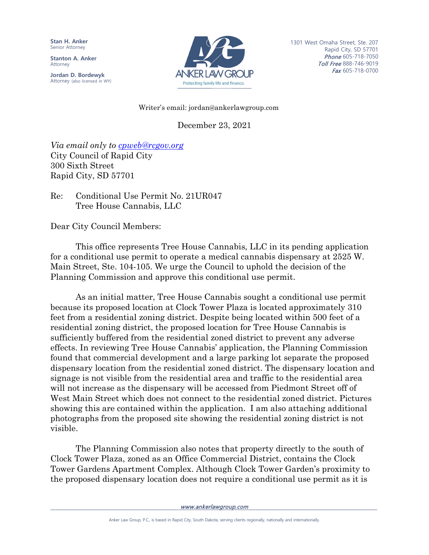**Stan H. Anker** Senior Attorney

**Stanton A. Anker** Attorney

**Jordan D. Bordewyk** Attorney (also licensed in WY)



1301 West Omaha Street, Ste. 207 Rapid City, SD 57701 Phone 605-718-7050 Toll Free 888-746-9019 Fax 605-718-0700

## Writer's email: jordan@ankerlawgroup.com

December 23, 2021

*Via email only to [cpweb@rcgov.org](mailto:cpweb@rcgov.org)* City Council of Rapid City 300 Sixth Street Rapid City, SD 57701

Re: Conditional Use Permit No. 21UR047 Tree House Cannabis, LLC

Dear City Council Members:

This office represents Tree House Cannabis, LLC in its pending application for a conditional use permit to operate a medical cannabis dispensary at 2525 W. Main Street, Ste. 104-105. We urge the Council to uphold the decision of the Planning Commission and approve this conditional use permit.

As an initial matter, Tree House Cannabis sought a conditional use permit because its proposed location at Clock Tower Plaza is located approximately 310 feet from a residential zoning district. Despite being located within 500 feet of a residential zoning district, the proposed location for Tree House Cannabis is sufficiently buffered from the residential zoned district to prevent any adverse effects. In reviewing Tree House Cannabis' application, the Planning Commission found that commercial development and a large parking lot separate the proposed dispensary location from the residential zoned district. The dispensary location and signage is not visible from the residential area and traffic to the residential area will not increase as the dispensary will be accessed from Piedmont Street off of West Main Street which does not connect to the residential zoned district. Pictures showing this are contained within the application. I am also attaching additional photographs from the proposed site showing the residential zoning district is not visible.

The Planning Commission also notes that property directly to the south of Clock Tower Plaza, zoned as an Office Commercial District, contains the Clock Tower Gardens Apartment Complex. Although Clock Tower Garden's proximity to the proposed dispensary location does not require a conditional use permit as it is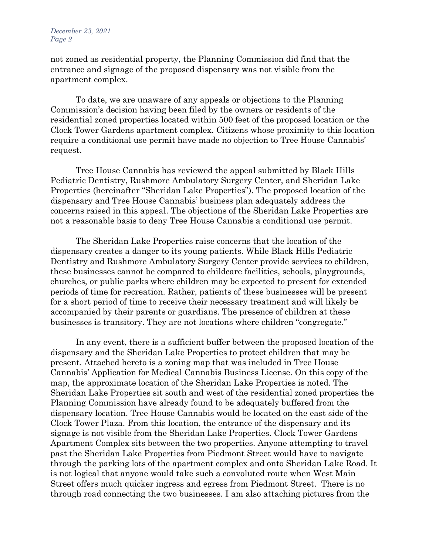not zoned as residential property, the Planning Commission did find that the entrance and signage of the proposed dispensary was not visible from the apartment complex.

To date, we are unaware of any appeals or objections to the Planning Commission's decision having been filed by the owners or residents of the residential zoned properties located within 500 feet of the proposed location or the Clock Tower Gardens apartment complex. Citizens whose proximity to this location require a conditional use permit have made no objection to Tree House Cannabis' request.

Tree House Cannabis has reviewed the appeal submitted by Black Hills Pediatric Dentistry, Rushmore Ambulatory Surgery Center, and Sheridan Lake Properties (hereinafter "Sheridan Lake Properties"). The proposed location of the dispensary and Tree House Cannabis' business plan adequately address the concerns raised in this appeal. The objections of the Sheridan Lake Properties are not a reasonable basis to deny Tree House Cannabis a conditional use permit.

The Sheridan Lake Properties raise concerns that the location of the dispensary creates a danger to its young patients. While Black Hills Pediatric Dentistry and Rushmore Ambulatory Surgery Center provide services to children, these businesses cannot be compared to childcare facilities, schools, playgrounds, churches, or public parks where children may be expected to present for extended periods of time for recreation. Rather, patients of these businesses will be present for a short period of time to receive their necessary treatment and will likely be accompanied by their parents or guardians. The presence of children at these businesses is transitory. They are not locations where children "congregate."

In any event, there is a sufficient buffer between the proposed location of the dispensary and the Sheridan Lake Properties to protect children that may be present. Attached hereto is a zoning map that was included in Tree House Cannabis' Application for Medical Cannabis Business License. On this copy of the map, the approximate location of the Sheridan Lake Properties is noted. The Sheridan Lake Properties sit south and west of the residential zoned properties the Planning Commission have already found to be adequately buffered from the dispensary location. Tree House Cannabis would be located on the east side of the Clock Tower Plaza. From this location, the entrance of the dispensary and its signage is not visible from the Sheridan Lake Properties. Clock Tower Gardens Apartment Complex sits between the two properties. Anyone attempting to travel past the Sheridan Lake Properties from Piedmont Street would have to navigate through the parking lots of the apartment complex and onto Sheridan Lake Road. It is not logical that anyone would take such a convoluted route when West Main Street offers much quicker ingress and egress from Piedmont Street. There is no through road connecting the two businesses. I am also attaching pictures from the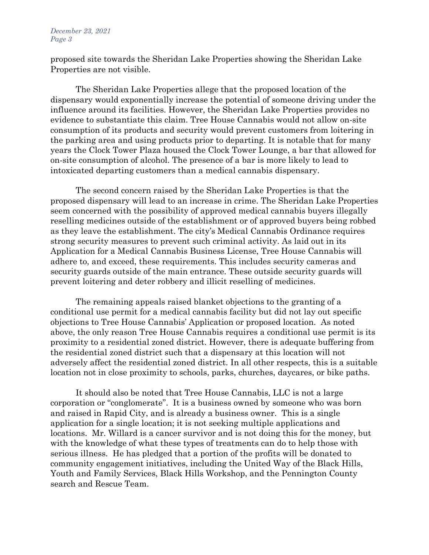## *December 23, 2021 Page 3*

proposed site towards the Sheridan Lake Properties showing the Sheridan Lake Properties are not visible.

The Sheridan Lake Properties allege that the proposed location of the dispensary would exponentially increase the potential of someone driving under the influence around its facilities. However, the Sheridan Lake Properties provides no evidence to substantiate this claim. Tree House Cannabis would not allow on-site consumption of its products and security would prevent customers from loitering in the parking area and using products prior to departing. It is notable that for many years the Clock Tower Plaza housed the Clock Tower Lounge, a bar that allowed for on-site consumption of alcohol. The presence of a bar is more likely to lead to intoxicated departing customers than a medical cannabis dispensary.

The second concern raised by the Sheridan Lake Properties is that the proposed dispensary will lead to an increase in crime. The Sheridan Lake Properties seem concerned with the possibility of approved medical cannabis buyers illegally reselling medicines outside of the establishment or of approved buyers being robbed as they leave the establishment. The city's Medical Cannabis Ordinance requires strong security measures to prevent such criminal activity. As laid out in its Application for a Medical Cannabis Business License, Tree House Cannabis will adhere to, and exceed, these requirements. This includes security cameras and security guards outside of the main entrance. These outside security guards will prevent loitering and deter robbery and illicit reselling of medicines.

The remaining appeals raised blanket objections to the granting of a conditional use permit for a medical cannabis facility but did not lay out specific objections to Tree House Cannabis' Application or proposed location. As noted above, the only reason Tree House Cannabis requires a conditional use permit is its proximity to a residential zoned district. However, there is adequate buffering from the residential zoned district such that a dispensary at this location will not adversely affect the residential zoned district. In all other respects, this is a suitable location not in close proximity to schools, parks, churches, daycares, or bike paths.

It should also be noted that Tree House Cannabis, LLC is not a large corporation or "conglomerate". It is a business owned by someone who was born and raised in Rapid City, and is already a business owner. This is a single application for a single location; it is not seeking multiple applications and locations. Mr. Willard is a cancer survivor and is not doing this for the money, but with the knowledge of what these types of treatments can do to help those with serious illness. He has pledged that a portion of the profits will be donated to community engagement initiatives, including the United Way of the Black Hills, Youth and Family Services, Black Hills Workshop, and the Pennington County search and Rescue Team.